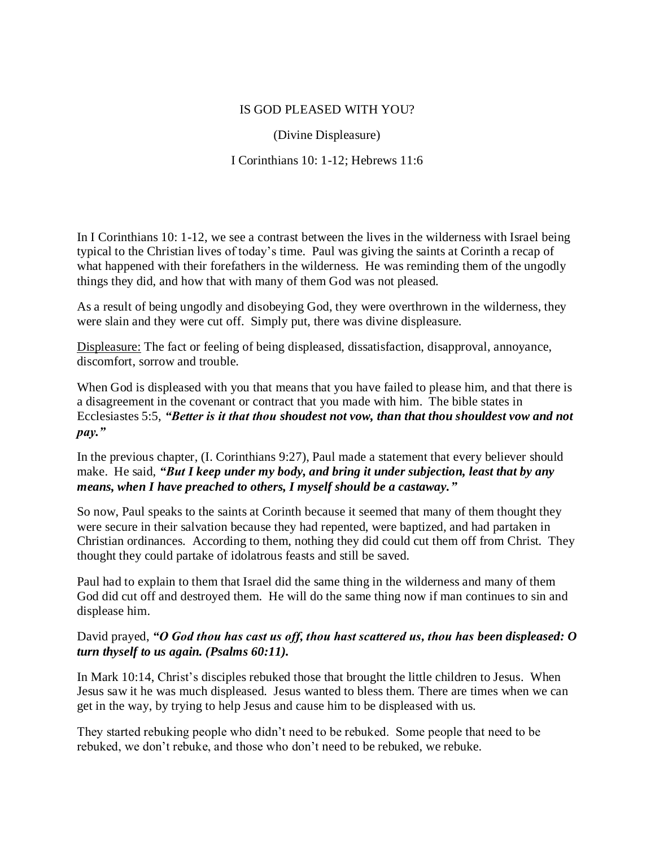## IS GOD PLEASED WITH YOU?

(Divine Displeasure)

I Corinthians 10: 1-12; Hebrews 11:6

In I Corinthians 10: 1-12, we see a contrast between the lives in the wilderness with Israel being typical to the Christian lives of today's time. Paul was giving the saints at Corinth a recap of what happened with their forefathers in the wilderness. He was reminding them of the ungodly things they did, and how that with many of them God was not pleased.

As a result of being ungodly and disobeying God, they were overthrown in the wilderness, they were slain and they were cut off. Simply put, there was divine displeasure.

Displeasure: The fact or feeling of being displeased, dissatisfaction, disapproval, annoyance, discomfort, sorrow and trouble.

When God is displeased with you that means that you have failed to please him, and that there is a disagreement in the covenant or contract that you made with him. The bible states in Ecclesiastes 5:5, *"Better is it that thou shoudest not vow, than that thou shouldest vow and not pay."*

In the previous chapter, (I. Corinthians 9:27), Paul made a statement that every believer should make. He said, *"But I keep under my body, and bring it under subjection, least that by any means, when I have preached to others, I myself should be a castaway."*

So now, Paul speaks to the saints at Corinth because it seemed that many of them thought they were secure in their salvation because they had repented, were baptized, and had partaken in Christian ordinances. According to them, nothing they did could cut them off from Christ. They thought they could partake of idolatrous feasts and still be saved.

Paul had to explain to them that Israel did the same thing in the wilderness and many of them God did cut off and destroyed them. He will do the same thing now if man continues to sin and displease him.

## David prayed, *"O God thou has cast us off, thou hast scattered us, thou has been displeased: O turn thyself to us again. (Psalms 60:11).*

In Mark 10:14, Christ's disciples rebuked those that brought the little children to Jesus. When Jesus saw it he was much displeased. Jesus wanted to bless them. There are times when we can get in the way, by trying to help Jesus and cause him to be displeased with us.

They started rebuking people who didn't need to be rebuked. Some people that need to be rebuked, we don't rebuke, and those who don't need to be rebuked, we rebuke.